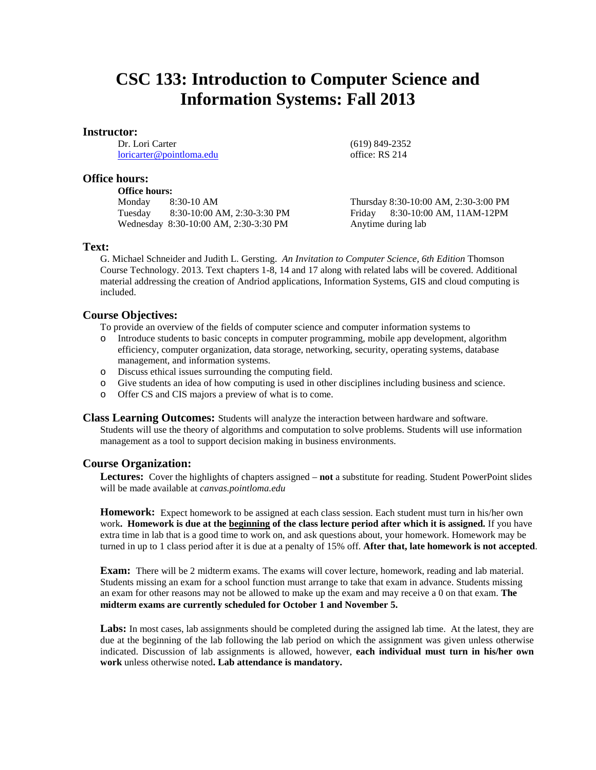# **CSC 133: Introduction to Computer Science and Information Systems: Fall 2013**

#### **Instructor:**

Dr. Lori Carter [loricarter@pointloma.edu](mailto:loricarter@pointloma.edu)

# **Office hours:**

#### **Office hours:**

Monday 8:30-10 AM Tuesday 8:30-10:00 AM, 2:30-3:30 PM Wednesday 8:30-10:00 AM, 2:30-3:30 PM

Thursday 8:30-10:00 AM, 2:30-3:00 PM Friday 8:30-10:00 AM, 11AM-12PM Anytime during lab

(619) 849-2352 office: RS 214

### **Text:**

G. Michael Schneider and Judith L. Gersting. *An Invitation to Computer Science, 6th Edition* Thomson Course Technology. 2013. Text chapters 1-8, 14 and 17 along with related labs will be covered. Additional material addressing the creation of Andriod applications, Information Systems, GIS and cloud computing is included.

# **Course Objectives:**

To provide an overview of the fields of computer science and computer information systems to

- o Introduce students to basic concepts in computer programming, mobile app development, algorithm efficiency, computer organization, data storage, networking, security, operating systems, database management, and information systems.
- o Discuss ethical issues surrounding the computing field.
- o Give students an idea of how computing is used in other disciplines including business and science.
- o Offer CS and CIS majors a preview of what is to come.

**Class Learning Outcomes:** Students will analyze the interaction between hardware and software. Students will use the theory of algorithms and computation to solve problems. Students will use information management as a tool to support decision making in business environments.

### **Course Organization:**

**Lectures:** Cover the highlights of chapters assigned – **not** a substitute for reading. Student PowerPoint slides will be made available at *canvas.pointloma.edu*

**Homework:** Expect homework to be assigned at each class session. Each student must turn in his/her own work**. Homework is due at the beginning of the class lecture period after which it is assigned.** If you have extra time in lab that is a good time to work on, and ask questions about, your homework. Homework may be turned in up to 1 class period after it is due at a penalty of 15% off. **After that, late homework is not accepted**.

**Exam:** There will be 2 midterm exams. The exams will cover lecture, homework, reading and lab material. Students missing an exam for a school function must arrange to take that exam in advance. Students missing an exam for other reasons may not be allowed to make up the exam and may receive a 0 on that exam. **The midterm exams are currently scheduled for October 1 and November 5.**

Labs: In most cases, lab assignments should be completed during the assigned lab time. At the latest, they are due at the beginning of the lab following the lab period on which the assignment was given unless otherwise indicated. Discussion of lab assignments is allowed, however, **each individual must turn in his/her own work** unless otherwise noted**. Lab attendance is mandatory.**